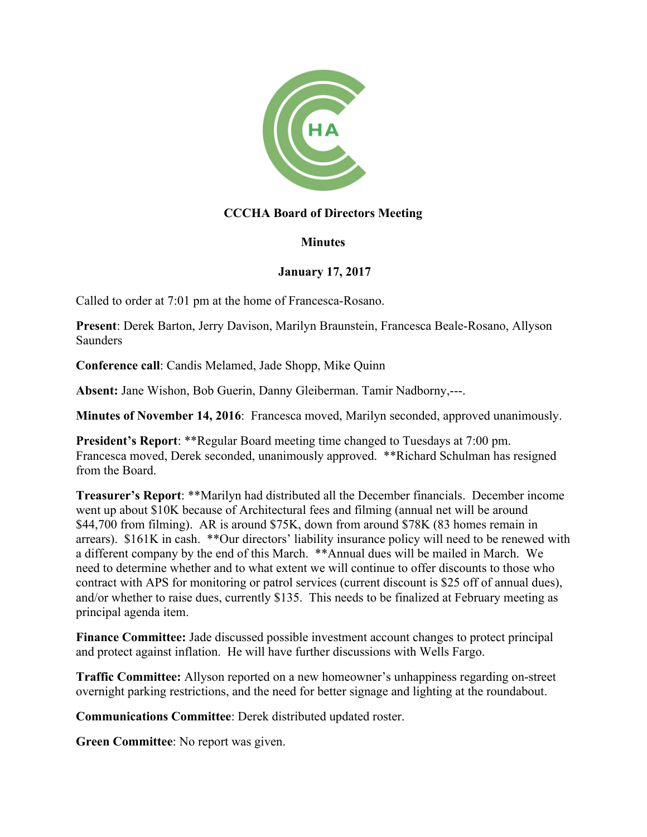

## **CCCHA Board of Directors Meeting**

## **Minutes**

## **January 17, 2017**

Called to order at 7:01 pm at the home of Francesca-Rosano.

**Present**: Derek Barton, Jerry Davison, Marilyn Braunstein, Francesca Beale-Rosano, Allyson Saunders

**Conference call**: Candis Melamed, Jade Shopp, Mike Quinn

**Absent:** Jane Wishon, Bob Guerin, Danny Gleiberman. Tamir Nadborny,---.

**Minutes of November 14, 2016**: Francesca moved, Marilyn seconded, approved unanimously.

**President's Report: \*\*Regular Board meeting time changed to Tuesdays at 7:00 pm.** Francesca moved, Derek seconded, unanimously approved. \*\*Richard Schulman has resigned from the Board.

**Treasurer's Report**: \*\*Marilyn had distributed all the December financials. December income went up about \$10K because of Architectural fees and filming (annual net will be around \$44,700 from filming). AR is around \$75K, down from around \$78K (83 homes remain in arrears). \$161K in cash. \*\*Our directors' liability insurance policy will need to be renewed with a different company by the end of this March. \*\*Annual dues will be mailed in March. We need to determine whether and to what extent we will continue to offer discounts to those who contract with APS for monitoring or patrol services (current discount is \$25 off of annual dues), and/or whether to raise dues, currently \$135. This needs to be finalized at February meeting as principal agenda item.

**Finance Committee:** Jade discussed possible investment account changes to protect principal and protect against inflation. He will have further discussions with Wells Fargo.

**Traffic Committee:** Allyson reported on a new homeowner's unhappiness regarding on-street overnight parking restrictions, and the need for better signage and lighting at the roundabout.

**Communications Committee**: Derek distributed updated roster.

**Green Committee**: No report was given.